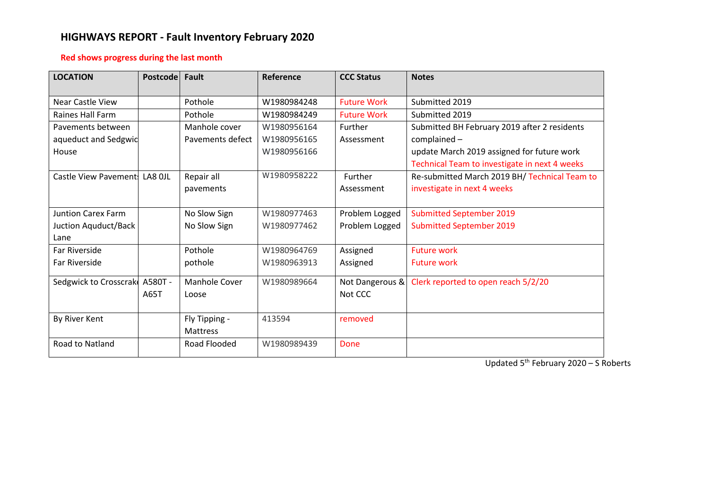# **HIGHWAYS REPORT - Fault Inventory February 2020**

## **Red shows progress during the last month**

| <b>LOCATION</b>               | <b>Postcode</b> | Fault            | Reference   | <b>CCC Status</b>  | <b>Notes</b>                                  |
|-------------------------------|-----------------|------------------|-------------|--------------------|-----------------------------------------------|
| Near Castle View              |                 | Pothole          | W1980984248 | <b>Future Work</b> | Submitted 2019                                |
| Raines Hall Farm              |                 | Pothole          | W1980984249 | <b>Future Work</b> | Submitted 2019                                |
| Pavements between             |                 | Manhole cover    | W1980956164 | Further            | Submitted BH February 2019 after 2 residents  |
| aqueduct and Sedgwic          |                 | Pavements defect | W1980956165 | Assessment         | complained -                                  |
| House                         |                 |                  | W1980956166 |                    | update March 2019 assigned for future work    |
|                               |                 |                  |             |                    | Technical Team to investigate in next 4 weeks |
| Castle View Pavement: LA8 OJL |                 | Repair all       | W1980958222 | Further            | Re-submitted March 2019 BH/ Technical Team to |
|                               |                 | pavements        |             | Assessment         | investigate in next 4 weeks                   |
|                               |                 |                  |             |                    |                                               |
| <b>Juntion Carex Farm</b>     |                 | No Slow Sign     | W1980977463 | Problem Logged     | <b>Submitted September 2019</b>               |
| Juction Aquduct/Back          |                 | No Slow Sign     | W1980977462 | Problem Logged     | <b>Submitted September 2019</b>               |
| Lane                          |                 |                  |             |                    |                                               |
| <b>Far Riverside</b>          |                 | Pothole          | W1980964769 | Assigned           | <b>Future work</b>                            |
| Far Riverside                 |                 | pothole          | W1980963913 | Assigned           | <b>Future work</b>                            |
| Sedgwick to Crosscrake        | A580T -         | Manhole Cover    | W1980989664 | Not Dangerous &    | Clerk reported to open reach 5/2/20           |
|                               | A65T            | Loose            |             | Not CCC            |                                               |
|                               |                 |                  |             |                    |                                               |
| By River Kent                 |                 | Fly Tipping -    | 413594      | removed            |                                               |
|                               |                 | Mattress         |             |                    |                                               |
| Road to Natland               |                 | Road Flooded     | W1980989439 | Done               |                                               |
|                               |                 |                  |             |                    |                                               |

Updated 5<sup>th</sup> February 2020 - S Roberts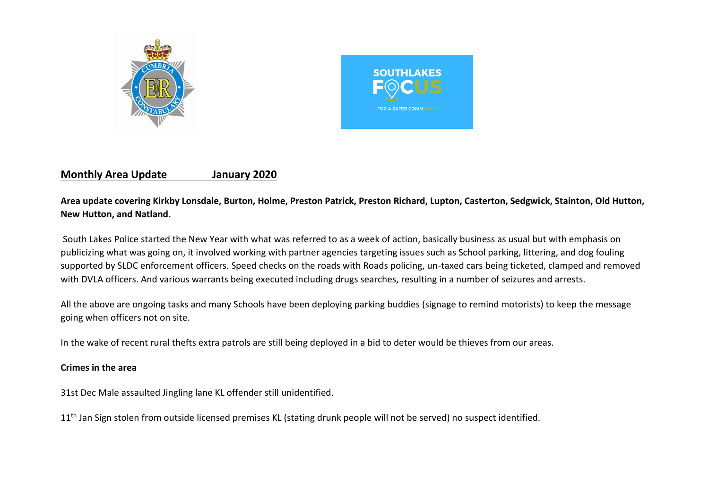



# **Monthly Area Update January 2020**

# **Area update covering Kirkby Lonsdale, Burton, Holme, Preston Patrick, Preston Richard, Lupton, Casterton, Sedgwick, Stainton, Old Hutton, New Hutton, and Natland.**

South Lakes Police started the New Year with what was referred to as a week of action, basically business as usual but with emphasis on publicizing what was going on, it involved working with partner agencies targeting issues such as School parking, littering, and dog fouling supported by SLDC enforcement officers. Speed checks on the roads with Roads policing, un-taxed cars being ticketed, clamped and removed with DVLA officers. And various warrants being executed including drugs searches, resulting in a number of seizures and arrests.

All the above are ongoing tasks and many Schools have been deploying parking buddies (signage to remind motorists) to keep the message going when officers not on site.

In the wake of recent rural thefts extra patrols are still being deployed in a bid to deter would be thieves from our areas.

## **Crimes in the area**

31st Dec Male assaulted Jingling lane KL offender still unidentified.

11<sup>th</sup> Jan Sign stolen from outside licensed premises KL (stating drunk people will not be served) no suspect identified.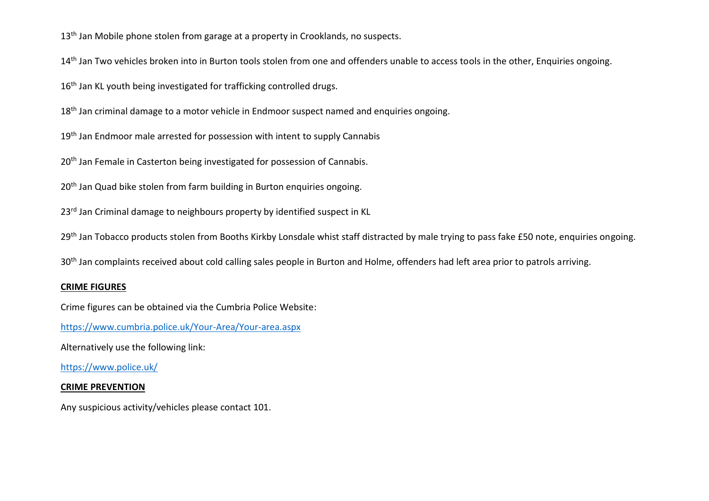13<sup>th</sup> Jan Mobile phone stolen from garage at a property in Crooklands, no suspects.

14<sup>th</sup> Jan Two vehicles broken into in Burton tools stolen from one and offenders unable to access tools in the other. Enquiries ongoing.

16<sup>th</sup> Jan KL youth being investigated for trafficking controlled drugs.

18<sup>th</sup> Jan criminal damage to a motor vehicle in Endmoor suspect named and enquiries ongoing.

19<sup>th</sup> Jan Endmoor male arrested for possession with intent to supply Cannabis

20<sup>th</sup> Jan Female in Casterton being investigated for possession of Cannabis.

20<sup>th</sup> Jan Quad bike stolen from farm building in Burton enquiries ongoing.

23<sup>rd</sup> Jan Criminal damage to neighbours property by identified suspect in KL

29<sup>th</sup> Jan Tobacco products stolen from Booths Kirkby Lonsdale whist staff distracted by male trying to pass fake £50 note, enquiries ongoing.

30<sup>th</sup> Jan complaints received about cold calling sales people in Burton and Holme, offenders had left area prior to patrols arriving.

### **CRIME FIGURES**

Crime figures can be obtained via the Cumbria Police Website:

<https://www.cumbria.police.uk/Your-Area/Your-area.aspx>

Alternatively use the following link:

<https://www.police.uk/>

#### **CRIME PREVENTION**

Any suspicious activity/vehicles please contact 101.